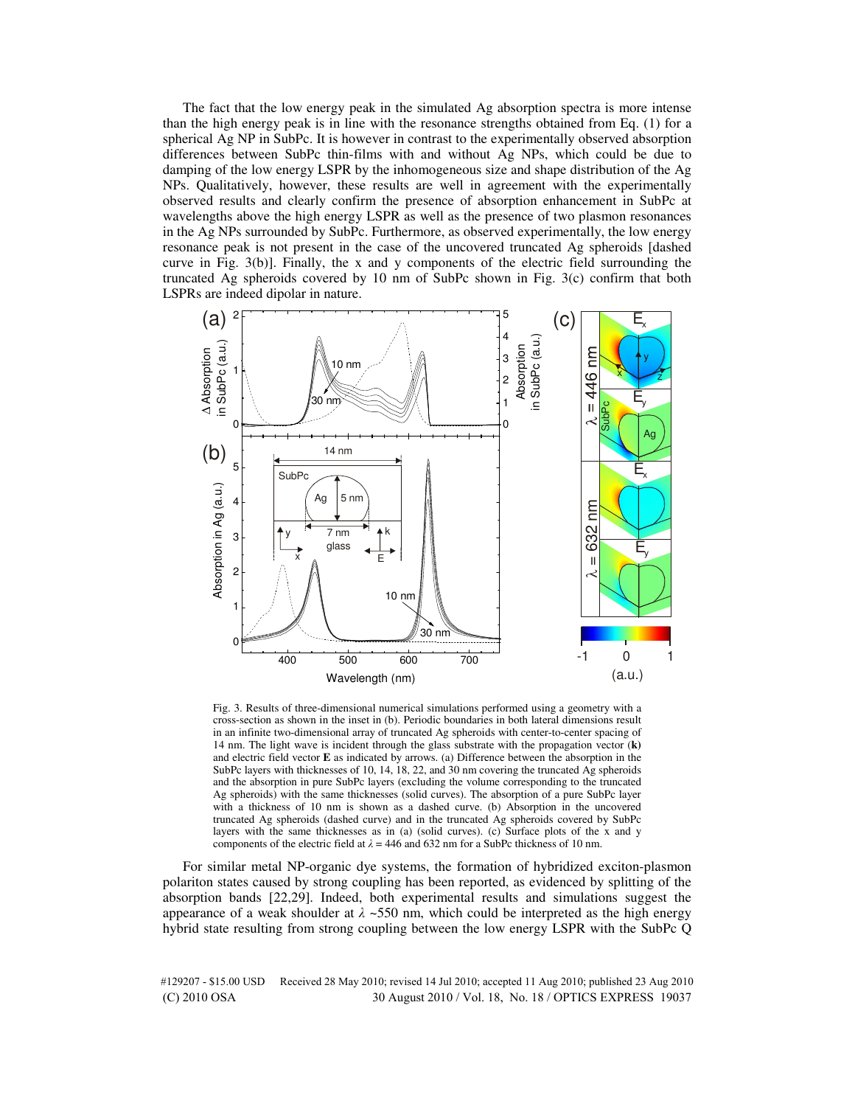The fact that the low energy peak in the simulated Ag absorption spectra is more intense than the high energy peak is in line with the resonance strengths obtained from Eq. (1) for a spherical Ag NP in SubPc. It is however in contrast to the experimentally observed absorption differences between SubPc thin-films with and without Ag NPs, which could be due to damping of the low energy LSPR by the inhomogeneous size and shape distribution of the Ag NPs. Qualitatively, however, these results are well in agreement with the experimentally observed results and clearly confirm the presence of absorption enhancement in SubPc at wavelengths above the high energy LSPR as well as the presence of two plasmon resonances in the Ag NPs surrounded by SubPc. Furthermore, as observed experimentally, the low energy resonance peak is not present in the case of the uncovered truncated Ag spheroids [dashed curve in Fig. 3(b)]. Finally, the x and y components of the electric field surrounding the truncated Ag spheroids covered by 10 nm of SubPc shown in Fig. 3(c) confirm that both LSPRs are indeed dipolar in nature.



Fig. 3. Results of three-dimensional numerical simulations performed using a geometry with a cross-section as shown in the inset in (b). Periodic boundaries in both lateral dimensions result in an infinite two-dimensional array of truncated Ag spheroids with center-to-center spacing of 14 nm. The light wave is incident through the glass substrate with the propagation vector (**k)** and electric field vector **E** as indicated by arrows. (a) Difference between the absorption in the SubPc layers with thicknesses of 10, 14, 18, 22, and 30 nm covering the truncated Ag spheroids and the absorption in pure SubPc layers (excluding the volume corresponding to the truncated Ag spheroids) with the same thicknesses (solid curves). The absorption of a pure SubPc layer with a thickness of 10 nm is shown as a dashed curve. (b) Absorption in the uncovered truncated Ag spheroids (dashed curve) and in the truncated Ag spheroids covered by SubPc layers with the same thicknesses as in (a) (solid curves). (c) Surface plots of the x and y components of the electric field at  $\lambda = 446$  and 632 nm for a SubPc thickness of 10 nm.

For similar metal NP-organic dye systems, the formation of hybridized exciton-plasmon polariton states caused by strong coupling has been reported, as evidenced by splitting of the absorption bands [22,29]. Indeed, both experimental results and simulations suggest the appearance of a weak shoulder at  $\lambda \sim 550$  nm, which could be interpreted as the high energy hybrid state resulting from strong coupling between the low energy LSPR with the SubPc Q

#129207 - \$15.00 USD Received 28 May 2010; revised 14 Jul 2010; accepted 11 Aug 2010; published 23 Aug 2010 (C) 2010 OSA 30 August 2010 / Vol. 18, No. 18 / OPTICS EXPRESS 19037